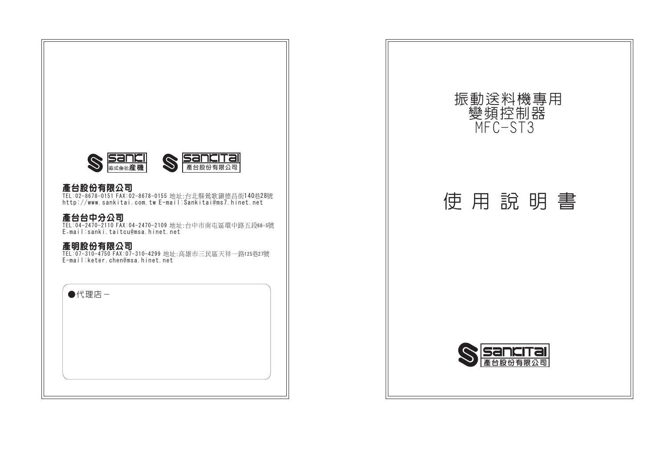

**產台股份有限公司**<br>TEL:02-8678-0151 FAX:02-8678-0155 地址:台北縣鶯歌鎭德昌街140巷28號 http://www.sankitai.com.tw E-mail:Sankitai@ms7.hinet.net

**產台台中分公司**<br>TEL:04-2470-2110 FAX:04-2470-2109 地址:台中市南屯區環中路五段68-5號<br>E<sub>-</sub>mail:sanki.taitcu@msa.hinet.net

**產明股份有限公司**<br>TEL:07-310-4750 FAX:07-310-4299 地址:高雄市三民區天祥一路125巷27號 E-mail:keter.chen@msa.hinet.net

| ●代理店- |  |  |  |
|-------|--|--|--|
|       |  |  |  |
|       |  |  |  |
|       |  |  |  |
|       |  |  |  |

振動送料機專用 變頻控制器 MFC-ST3 使用說明書 **San** 

產台股份有限公司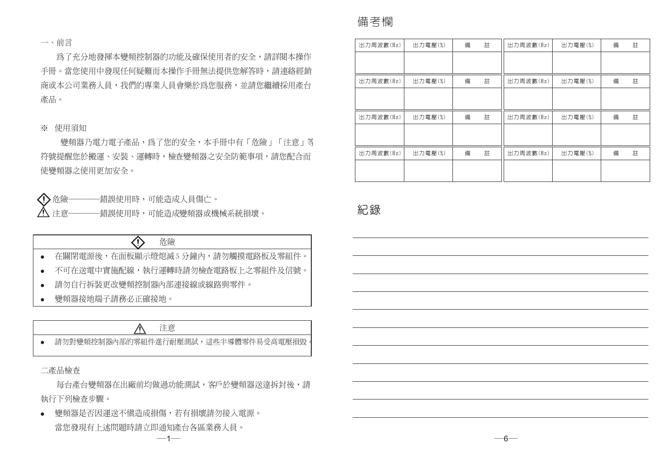### 一、前言

爲了充分地發揮本變頻控制器的功能及確保使用者的安全,請詳閱本操作 手冊。當您使用中發現任何疑難而本操作手冊無法提供您解答時,請連絡經銷 商或本公司業務人員,我們的專業人員會樂於為您服務,並請您繼續採用產台 產品。

### ※ 使用須知

變頻器乃雷力雷子產品,為了您的安全,本手冊中有「危險」「注意」等 符號提醒您於搬運、安裝、運轉時,檢查變頻器之安全防範事項,請您配合而 使變頻器之使用更加安全。

企余險 -錯誤使用時,可能造成人員傷亡。 -錯誤使用時,可能造成變頻器或機械系統損壞。 注意-

| 危險                                |
|-----------------------------------|
| 在關閉電源後,在面板顯示燈熄滅5 分鐘內,請勿觸摸電路板及零組件。 |
| 不可在送雷中實施配線,執行運轉時請勿檢查電路板上之零組件及信號。  |
| 請勿自行拆裝更改變頻控制器內部連接線或線路與零件。         |
|                                   |

變頻器接地端子請務必正確接地。  $\bullet$ 

## 注意

● 請勿對變頻控制器內部的零組件進行耐壓測試,這些半導體零件易受高雷壓損毀

二產品檢查

 $\bullet$  $\bullet$  $\blacksquare$ 

每台產台變頻器在出廠前均做過功能測試,客戶於變頻器送達拆封後,請 執行下列檢查步驟。

 $-1$ 

變頻器是否因運送不愼造成損傷,若有損壞請勿接入電源。  $\bullet$ 當您發現有上述問題時請立即通知產台各區業務人員。

# 備考欄

| 出力周波數(Hz) | 出力電壓(%) | 備 | 註 | 出力周波數(Hz) | 出力電壓(%) | 備 | 註 |
|-----------|---------|---|---|-----------|---------|---|---|
|           |         |   |   |           |         |   |   |
| 出力周波數(Hz) | 出力電壓(%) | 備 | 註 | 出力周波數(Hz) | 出力電壓(%) | 備 | 註 |
|           |         |   |   |           |         |   |   |
|           |         |   |   |           |         |   |   |
| 出力周波數(Hz) | 出力電壓(%) | 備 | 註 | 出力周波數(Hz) | 出力電壓(%) | 備 | 註 |
|           |         |   |   |           |         |   |   |
| 出力周波數(Hz) | 出力電壓(%) | 備 | 註 | 出力周波數(Hz) | 出力電壓(%) | 備 | 註 |
|           |         |   |   |           |         |   |   |
|           |         |   |   |           |         |   |   |

紀錄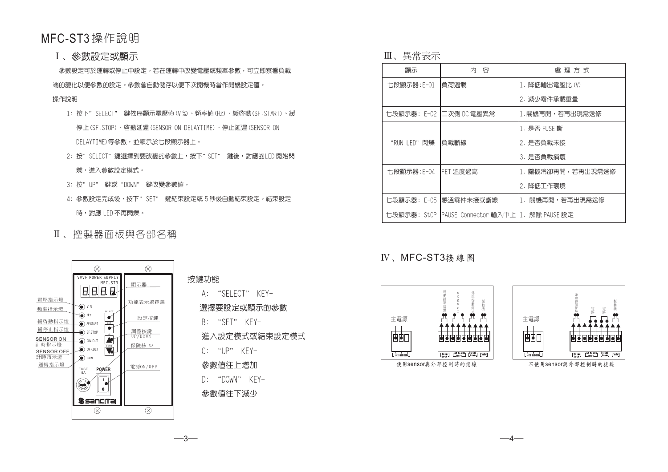# MFC-ST3 操作說明

**I、參數設定或顯示** 

參數設定可於運轉或停止中設定。若在運轉中改變電壓或頻率參數,可立即察看負載

端的變化以便參數的設定。參數會白動儲存以便下次開機時當作開機設定值。

### 操作說明

- 1: 按下"SFLFCT" 鍵依序顯示電壓値(V%)、頻率値(Hz)、緩啓動(SF.START)、緩 停止(SF.STOP)、啓動延遲(SENSOR ON DELAYTIME)、停止延遲(SENSOR ON DFI AYTIMF)等參數,並顯示於七段顯示器上。
- 2: 按"SFIFCT"鍵選擇到要改變的參數上,按下"SFT" 鍵後,對應的IFD開始閃 爍,谁入參數設定模式。
- 3: 按"UP" 鍵或"DOWN" 鍵改變參數值。
- 4: 參數設定完成後,按下" SET" 鍵結束設定或 5 秒後自動結束設定。結束設定 時,對應 | FD 不再閃爍。
- Ⅱ、控製器面板與各部名稱



按鍵功能 A: "SELECT" KEY-選擇要設定或顯示的參數 B: "SET" KEY-進入設定模式或結束設定模式 C: "UP" KEY-

參數値往上增加

 $D: "DOWN" KFY-$ 

參數值往下減少

 $-3-$ 

Ⅲ、畢常表示

| 顯示          | 容<br>内                                            | 處 理 方 式            |
|-------------|---------------------------------------------------|--------------------|
| 七段顯示器:F-01  | 負荷過載                                              | 1. 降低輸出電壓比(V)      |
|             |                                                   | 2. 減少零件承載重量        |
|             | 七段顯示器:E-02  二次側 DC 電壓異常                           | 1.關機再開,若再出現需送修     |
|             |                                                   | 1. 是否 FUSF 斷       |
| "RUN LED"既爍 | 負載斷線                                              | 2. 是否負載未接          |
|             |                                                   | 3. 是否負載損壞          |
| 七段顯示器:E-04  | <b>IFET 溫度過高</b>                                  | 1. 關機冷卻再開,若再出現需送修  |
|             |                                                   | 2. 降低工作環境          |
| 七段顯示器: E-05 | 感溫零件未接或斷線                                         | 關機再開,若再出現需送修<br>1. |
|             | 七段顯示器: StOP IPAUSE Connector 輸入中止 I1. 解除 PAUSE 設定 |                    |

# IV、MFC-ST3接線圖





不使用sensor與外部控制時的接線

 $-4-$